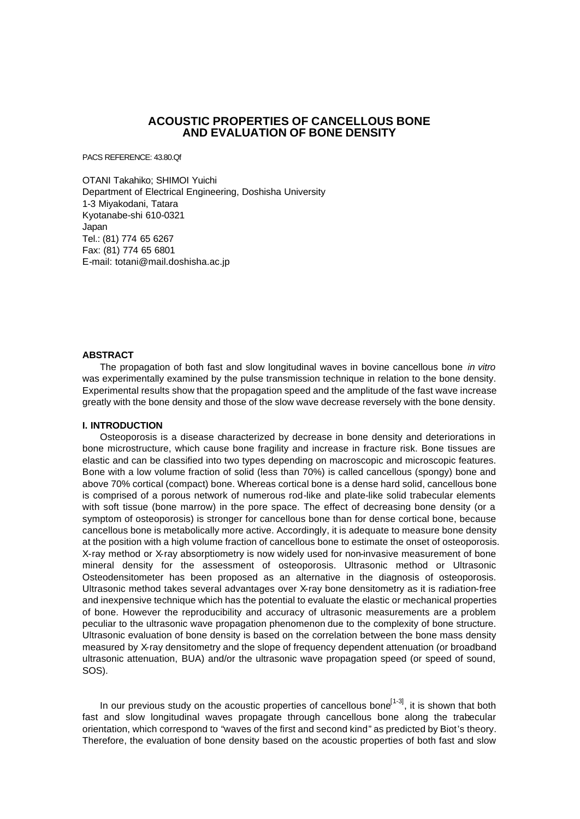# **ACOUSTIC PROPERTIES OF CANCELLOUS BONE AND EVALUATION OF BONE DENSITY**

PACS REFERENCE: 43.80.Qf

OTANI Takahiko; SHIMOI Yuichi Department of Electrical Engineering, Doshisha University 1-3 Miyakodani, Tatara Kyotanabe-shi 610-0321 Japan Tel.: (81) 774 65 6267 Fax: (81) 774 65 6801 E-mail: totani@mail.doshisha.ac.jp

### **ABSTRACT**

The propagation of both fast and slow longitudinal waves in bovine cancellous bone *in vitro* was experimentally examined by the pulse transmission technique in relation to the bone density. Experimental results show that the propagation speed and the amplitude of the fast wave increase greatly with the bone density and those of the slow wave decrease reversely with the bone density.

#### **I. INTRODUCTION**

Osteoporosis is a disease characterized by decrease in bone density and deteriorations in bone microstructure, which cause bone fragility and increase in fracture risk. Bone tissues are elastic and can be classified into two types depending on macroscopic and microscopic features. Bone with a low volume fraction of solid (less than 70%) is called cancellous (spongy) bone and above 70% cortical (compact) bone. Whereas cortical bone is a dense hard solid, cancellous bone is comprised of a porous network of numerous rod-like and plate-like solid trabecular elements with soft tissue (bone marrow) in the pore space. The effect of decreasing bone density (or a symptom of osteoporosis) is stronger for cancellous bone than for dense cortical bone, because cancellous bone is metabolically more active. Accordingly, it is adequate to measure bone density at the position with a high volume fraction of cancellous bone to estimate the onset of osteoporosis. X-ray method or X-ray absorptiometry is now widely used for non-invasive measurement of bone mineral density for the assessment of osteoporosis. Ultrasonic method or Ultrasonic Osteodensitometer has been proposed as an alternative in the diagnosis of osteoporosis. Ultrasonic method takes several advantages over X-ray bone densitometry as it is radiation-free and inexpensive technique which has the potential to evaluate the elastic or mechanical properties of bone. However the reproducibility and accuracy of ultrasonic measurements are a problem peculiar to the ultrasonic wave propagation phenomenon due to the complexity of bone structure. Ultrasonic evaluation of bone density is based on the correlation between the bone mass density measured by X-ray densitometry and the slope of frequency dependent attenuation (or broadband ultrasonic attenuation, BUA) and/or the ultrasonic wave propagation speed (or speed of sound, SOS).

In our previous study on the acoustic properties of cancellous bone<sup>[1-3]</sup>, it is shown that both fast and slow longitudinal waves propagate through cancellous bone along the trabecular orientation, which correspond to "waves of the first and second kind" as predicted by Biot's theory. Therefore, the evaluation of bone density based on the acoustic properties of both fast and slow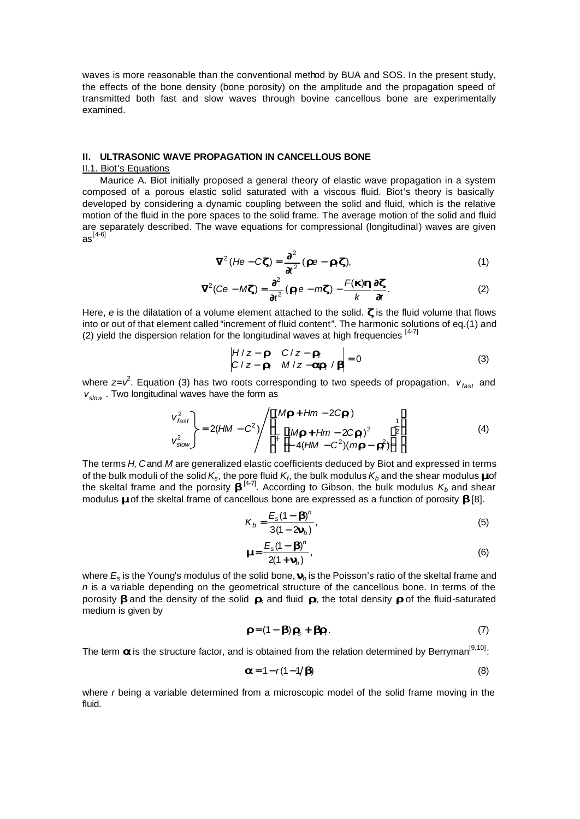waves is more reasonable than the conventional method by BUA and SOS. In the present study, the effects of the bone density (bone porosity) on the amplitude and the propagation speed of transmitted both fast and slow waves through bovine cancellous bone are experimentally examined.

## II. ULTRASONIC WAVE PROPAGATION IN CANCELLOUS BONE

### II.1. Biot's Equations

Maurice A. Biot initially proposed a general theory of elastic wave propagation in a system composed of a porous elastic solid saturated with a viscous fluid. Biot's theory is basically developed by considering a dynamic coupling between the solid and fluid, which is the relative motion of the fluid in the pore spaces to the solid frame. The average motion of the solid and fluid are separately described. The wave equations for compressional (longitudinal) waves are given  $as^{[4-6]}$ 

$$
\tilde{\mathbf{N}}^2 (H \mathbf{e} - C \mathbf{z}) = \frac{\mathbf{T}^2}{\mathbf{T}^2} (\mathbf{r} \mathbf{e} - \mathbf{r} \mathbf{z}), \tag{1}
$$

$$
\tilde{\mathbf{N}}^2(Ce - M\mathbf{z}) = \frac{\mathbf{T}^2}{\mathbf{T}t^2} (\mathbf{z}_f^*e - m\mathbf{z}) - \frac{F(\mathbf{z})\mathbf{h}}{k} \frac{\mathbf{T} \mathbf{z}}{\mathbf{T}t}.
$$
 (2)

Here,  $e$  is the dilatation of a volume element attached to the solid.  $\boldsymbol{x}$  is the fluid volume that flows into or out of that element called "increment of fluid content". The harmonic solutions of eq.(1) and (2) yield the dispersion relation for the longitudinal waves at high frequencies  $[4-7]$ 

$$
\begin{vmatrix} H/z - \mathbf{r} & C/z - \mathbf{r}_f \\ C/z - \mathbf{r}_f & M/z - \mathbf{arr}_f / \mathbf{r} \end{vmatrix} = 0
$$
 (3)

where  $z = v^2$ . Equation (3) has two roots corresponding to two speeds of propagation,  $v_{\text{fast}}$  and  $V_{slow}$ . Two longitudinal waves have the form as

$$
\mathbf{v}_{\text{fast}}^2
$$
\n
$$
\mathbf{v}_{\text{slow}}^2
$$
\n
$$
\mathbf{v}_{\text{slow}}^2
$$
\n
$$
\mathbf{v}_{\text{slow}}^2
$$
\n
$$
\mathbf{v}_{\text{slow}}^2
$$
\n
$$
\mathbf{v}_{\text{slow}}^2
$$
\n
$$
\mathbf{v}_{\text{slow}}^2
$$
\n
$$
\mathbf{v}_{\text{slow}}^2
$$
\n
$$
\mathbf{v}_{\text{slow}}^2
$$
\n
$$
\mathbf{v}_{\text{slow}}^2
$$
\n
$$
\mathbf{v}_{\text{slow}}^2
$$
\n
$$
\mathbf{v}_{\text{slow}}^2
$$
\n
$$
\mathbf{v}_{\text{slow}}^2
$$
\n
$$
\mathbf{v}_{\text{slow}}^2
$$
\n
$$
\mathbf{v}_{\text{slow}}^2
$$
\n
$$
\mathbf{v}_{\text{slow}}^2
$$
\n
$$
\mathbf{v}_{\text{slow}}^2
$$
\n
$$
\mathbf{v}_{\text{slow}}^2
$$
\n
$$
\mathbf{v}_{\text{slow}}^2
$$
\n
$$
\mathbf{v}_{\text{slow}}^2
$$
\n
$$
\mathbf{v}_{\text{slow}}^2
$$
\n
$$
\mathbf{v}_{\text{slow}}^2
$$
\n
$$
\mathbf{v}_{\text{slow}}^2
$$
\n
$$
\mathbf{v}_{\text{slow}}^2
$$
\n
$$
\mathbf{v}_{\text{slow}}^2
$$
\n
$$
\mathbf{v}_{\text{slow}}^2
$$
\n
$$
\mathbf{v}_{\text{slow}}^2
$$
\n
$$
\mathbf{v}_{\text{slow}}^2
$$
\n
$$
\mathbf{v}_{\text{slow}}^2
$$
\n
$$
\mathbf{v}_{\text{slow}}^2
$$
\n
$$
\mathbf{v}_{\text{slow}}^2
$$
\n
$$
\mathbf{v}_{\text{slow}}^2
$$
\n
$$
\mathbf{v}_{\text{slow}}^2
$$
\n
$$
\mathbf{v}_{\text{slow}}^2
$$
\n
$$
\mathbf{v}_{\text{slow}}^
$$

The terms H, Cand M are generalized elastic coefficients deduced by Biot and expressed in terms of the bulk moduli of the solid  $K_s$ , the pore fluid  $K_f$ , the bulk modulus  $K_b$  and the shear modulus **and** the skeltal frame and the porosity  $\mathbf{L}^{[4\text{-}7]}$ . According to Gibson, the bulk modulus  $K_b$  and shear modulus **mo**f the skeltal frame of cancellous bone are expressed as a function of porosity **b**[8].

$$
K_b = \frac{E_s (1 - \mathbf{D})^n}{3(1 - 2\mathbf{m}_b)},
$$
\n(5)

$$
\frac{E_s(1 - D)^n}{2(1 + m_b)},
$$
\n(6)

where  $E_s$  is the Young's modulus of the solid bone,  $\mathbf{m}_b$  is the Poisson's ratio of the skeltal frame and  $n$  is a variable depending on the geometrical structure of the cancellous bone. In terms of the porosity **b** and the density of the solid  $\mathbf{r}_5$  and fluid  $\mathbf{r}_6$  the total density r of the fluid-saturated medium is given by

$$
\mathbf{r} = (1 - \mathbf{b}) \mathbf{r}_s + \mathbf{f} \mathbf{r}_f. \tag{7}
$$

The term **a** is the structure factor, and is obtained from the relation determined by Berryman<sup>[9,10]</sup>:

$$
a = 1 - r(1 - 1/\bar{B})
$$
 (8)

where r being a variable determined from a microscopic model of the solid frame moving in the fluid.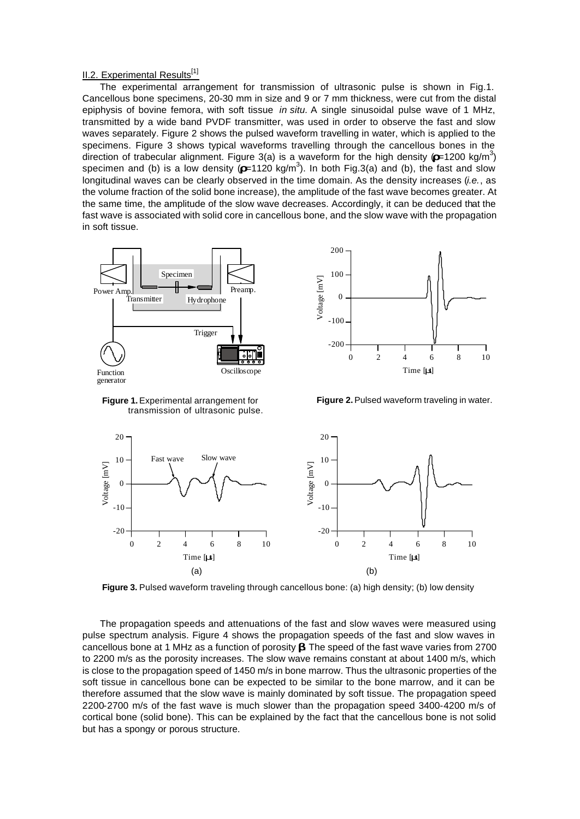## **II.2. Experimental Results**<sup>[1]</sup>

The experimental arrangement for transmission of ultrasonic pulse is shown in Fig.1. Cancellous bone specimens, 20-30 mm in size and 9 or 7 mm thickness, were cut from the distal epiphysis of bovine femora, with soft tissue *in situ.* A single sinusoidal pulse wave of 1 MHz, transmitted by a wide band PVDF transmitter, was used in order to observe the fast and slow waves separately. Figure 2 shows the pulsed waveform travelling in water, which is applied to the specimens. Figure 3 shows typical waveforms travelling through the cancellous bones in the direction of trabecular alignment. Figure 3(a) is a waveform for the high density  $(2.1200 \text{ kg/m}^3)$ specimen and (b) is a low density  $(22.120 \text{ kg/m}^3)$ . In both Fig.3(a) and (b), the fast and slow longitudinal waves can be clearly observed in the time domain. As the density increases (*i.e.*, as the volume fraction of the solid bone increase), the amplitude of the fast wave becomes greater. At the same time, the amplitude of the slow wave decreases. Accordingly, it can be deduced that the fast wave is associated with solid core in cancellous bone, and the slow wave with the propagation in soft tissue.





**Figure 1.** Experimental arrangement for transmission of ultrasonic pulse.

**Figure 2.** Pulsed waveform traveling in water.



Figure 3. Pulsed waveform traveling through cancellous bone: (a) high density; (b) low density

The propagation speeds and attenuations of the fast and slow waves were measured using pulse spectrum analysis. Figure 4 shows the propagation speeds of the fast and slow waves in cancellous bone at 1 MHz as a function of porosity **b**. The speed of the fast wave varies from 2700 to 2200 m/s as the porosity increases. The slow wave remains constant at about 1400 m/s, which is close to the propagation speed of 1450 m/s in bone marrow. Thus the ultrasonic properties of the soft tissue in cancellous bone can be expected to be similar to the bone marrow, and it can be therefore assumed that the slow wave is mainly dominated by soft tissue. The propagation speed 2200-2700 m/s of the fast wave is much slower than the propagation speed 3400-4200 m/s of cortical bone (solid bone). This can be explained by the fact that the cancellous bone is not solid but has a spongy or porous structure.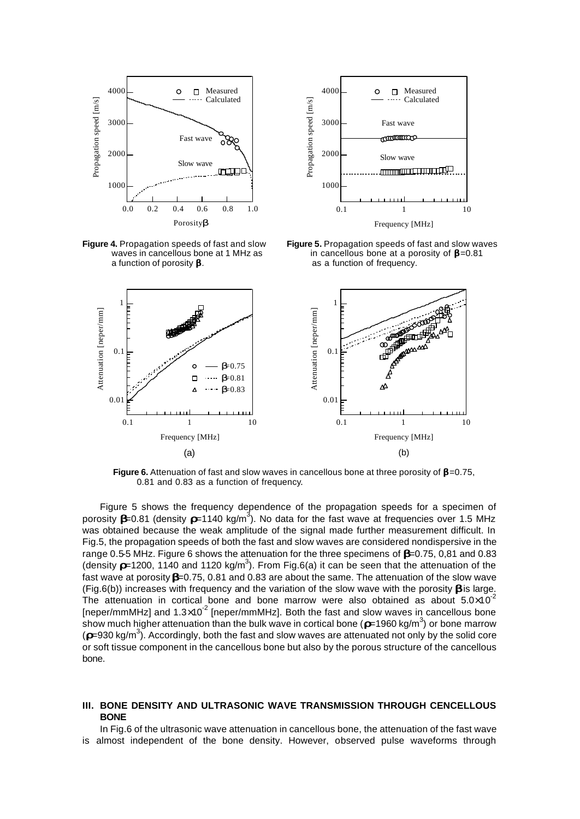

**Figure 4.** Propagation speeds of fast and slow waves in cancellous bone at 1 MHz as a function of porosity *b.*



**Figure 5.** Propagation speeds of fast and slow waves in cancellous bone at a porosity of *b*=0.81 as a function of frequency.



**Figure 6.** Attenuation of fast and slow waves in cancellous bone at three porosity of  $\mathbf{D} = 0.75$ , 0.81 and 0.83 as a function of frequency.

Figure 5 shows the frequency dependence of the propagation speeds for a specimen of porosity **b**=0.81 (density r=1140 kg/m<sup>3</sup>). No data for the fast wave at frequencies over 1.5 MHz was obtained because the weak amplitude of the signal made further measurement difficult. In Fig.5, the propagation speeds of both the fast and slow waves are considered nondispersive in the range 0.5-5 MHz. Figure 6 shows the attenuation for the three specimens of *b*=0.75, 0,81 and 0.83 (density  $\blacktriangleright$  =1200, 1140 and 1120 kg/m<sup>3</sup>). From Fig.6(a) it can be seen that the attenuation of the fast wave at porosity *b*=0.75, 0.81 and 0.83 are about the same. The attenuation of the slow wave (Fig.6(b)) increases with frequency and the variation of the slow wave with the porosity *b* is large. The attenuation in cortical bone and bone marrow were also obtained as about  $5.0 \times 10^{-2}$ [neper/mmMHz] and 1.3×10<sup>-2</sup> [neper/mmMHz]. Both the fast and slow waves in cancellous bone show much higher attenuation than the bulk wave in cortical bone (**x**=1960 kg/m<sup>3</sup>) or bone marrow (*r*=930 kg/m<sup>3</sup> ). Accordingly, both the fast and slow waves are attenuated not only by the solid core or soft tissue component in the cancellous bone but also by the porous structure of the cancellous bone.

### **III. BONE DENSITY AND ULTRASONIC WAVE TRANSMISSION THROUGH CENCELLOUS BONE**

In Fig.6 of the ultrasonic wave attenuation in cancellous bone, the attenuation of the fast wave is almost independent of the bone density. However, observed pulse waveforms through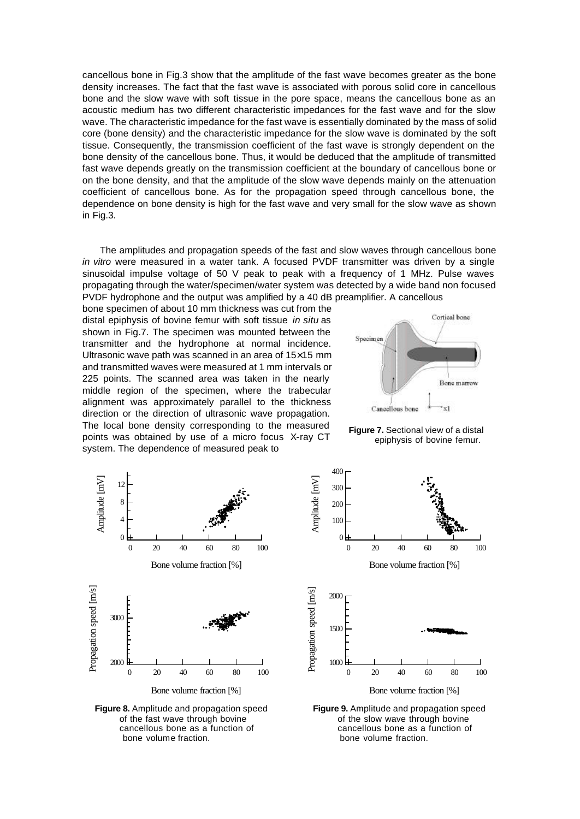cancellous bone in Fig.3 show that the amplitude of the fast wave becomes greater as the bone density increases. The fact that the fast wave is associated with porous solid core in cancellous bone and the slow wave with soft tissue in the pore space, means the cancellous bone as an acoustic medium has two different characteristic impedances for the fast wave and for the slow wave. The characteristic impedance for the fast wave is essentially dominated by the mass of solid core (bone density) and the characteristic impedance for the slow wave is dominated by the soft tissue. Consequently, the transmission coefficient of the fast wave is strongly dependent on the bone density of the cancellous bone. Thus, it would be deduced that the amplitude of transmitted fast wave depends greatly on the transmission coefficient at the boundary of cancellous bone or on the bone density, and that the amplitude of the slow wave depends mainly on the attenuation coefficient of cancellous bone. As for the propagation speed through cancellous bone, the dependence on bone density is high for the fast wave and very small for the slow wave as shown in Fig.3.

The amplitudes and propagation speeds of the fast and slow waves through cancellous bone *in vitro* were measured in a water tank. A focused PVDF transmitter was driven by a single sinusoidal impulse voltage of 50 V peak to peak with a frequency of 1 MHz. Pulse waves propagating through the water/specimen/water system was detected by a wide band non focused PVDF hydrophone and the output was amplified by a 40 dB preamplifier. A cancellous

bone specimen of about 10 mm thickness was cut from the distal epiphysis of bovine femur with soft tissue *in situ* as shown in Fig.7. The specimen was mounted between the transmitter and the hydrophone at normal incidence. Ultrasonic wave path was scanned in an area of 15×15 mm and transmitted waves were measured at 1 mm intervals or 225 points. The scanned area was taken in the nearly middle region of the specimen, where the trabecular alignment was approximately parallel to the thickness direction or the direction of ultrasonic wave propagation. The local bone density corresponding to the measured points was obtained by use of a micro focus X-ray CT system. The dependence of measured peak to







**Figure 8.** Amplitude and propagation speed of the fast wave through bovine cancellous bone as a function of bone volume fraction.



**Figure 9.** Amplitude and propagation speed of the slow wave through bovine cancellous bone as a function of bone volume fraction.